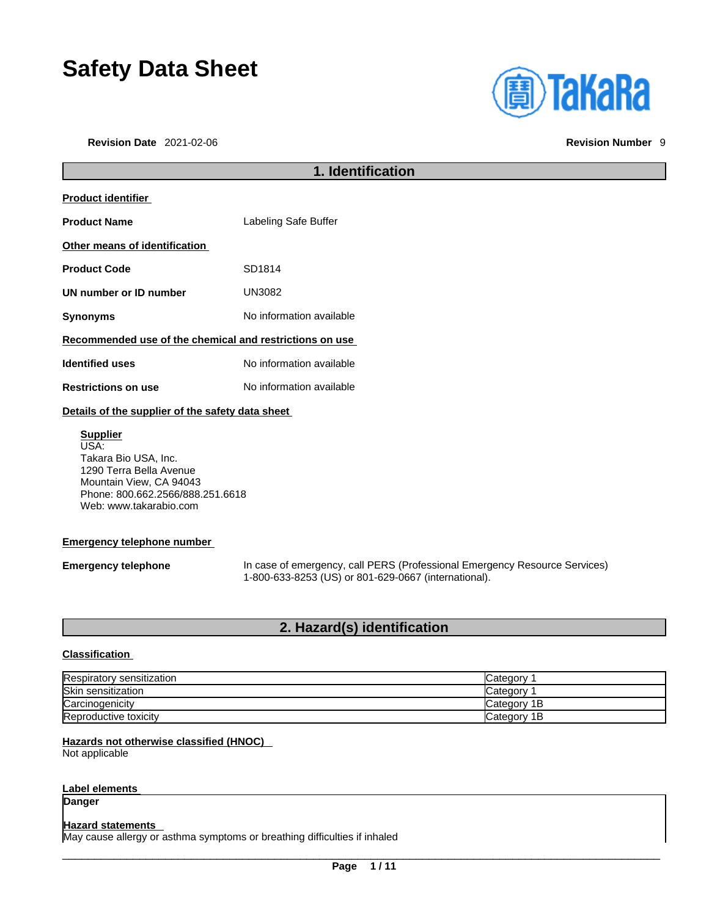# **Safety Data Sheet**

**Revision Date** 2021-02-06 **Revision Number** 9

г



|                                                         | 1. Identification        |  |
|---------------------------------------------------------|--------------------------|--|
| <b>Product identifier</b>                               |                          |  |
| <b>Product Name</b>                                     | Labeling Safe Buffer     |  |
| Other means of identification                           |                          |  |
| <b>Product Code</b>                                     | SD1814                   |  |
| UN number or ID number                                  | UN3082                   |  |
| <b>Synonyms</b>                                         | No information available |  |
| Recommended use of the chemical and restrictions on use |                          |  |
| <b>Identified uses</b>                                  | No information available |  |
| <b>Restrictions on use</b>                              | No information available |  |
|                                                         |                          |  |

#### **Details of the supplier of the safety data sheet**

**Supplier** USA: Takara Bio USA, Inc. 1290 Terra Bella Avenue Mountain View, CA 94043 Phone: 800.662.2566/888.251.6618 Web: www.takarabio.com

#### **Emergency telephone number**

**Emergency telephone** In case of emergency, call PERS (Professional Emergency Resource Services) 1-800-633-8253 (US) or 801-629-0667 (international).

#### **2. Hazard(s) identification**

#### **Classification**

| Respiratory sensitization | Category     |
|---------------------------|--------------|
| Skin sensitization        | Category 1   |
| Carcinogenicity           | lCategorv 1B |
| Reproductive toxicity     | Category 1B  |

#### **Hazards not otherwise classified (HNOC)**

Not applicable

#### **Label elements**

**Danger** 

#### **Hazard statements**

May cause allergy or asthma symptoms or breathing difficulties if inhaled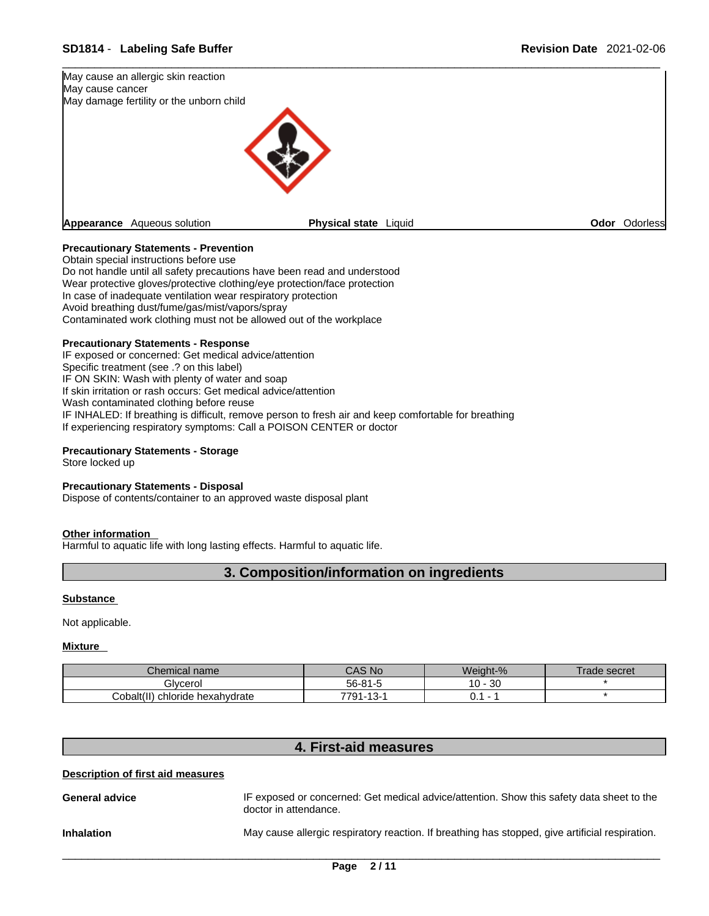

#### **Precautionary Statements - Prevention**

Obtain special instructions before use Do not handle until all safety precautions have been read and understood Wear protective gloves/protective clothing/eye protection/face protection In case of inadequate ventilation wear respiratory protection Avoid breathing dust/fume/gas/mist/vapors/spray Contaminated work clothing must not be allowed out of the workplace

#### **Precautionary Statements - Response**

IF exposed or concerned: Get medical advice/attention Specific treatment (see .? on this label) IF ON SKIN: Wash with plenty of water and soap If skin irritation or rash occurs: Get medical advice/attention Wash contaminated clothing before reuse IF INHALED: If breathing is difficult, remove person to fresh air and keep comfortable for breathing If experiencing respiratory symptoms: Call a POISON CENTER or doctor

#### **Precautionary Statements - Storage**

Store locked up

#### **Precautionary Statements - Disposal**

Dispose of contents/container to an approved waste disposal plant

#### **Other information**

Harmful to aquatic life with long lasting effects. Harmful to aquatic life.

### **3. Composition/information on ingredients**

#### **Substance**

Not applicable.

#### **Mixture**

| $\mathcal L$ hemical name       | <b>No</b>                 | Weight-%            | secret<br>ade |
|---------------------------------|---------------------------|---------------------|---------------|
| <b>Hivcero</b>                  | - 56-ა .                  | n n<br>$10 -$<br>υc |               |
| Cobalt(<br>chloride hexahydrate | 701<br>⌒<br>-ت<br>$\cdot$ | ◡.                  |               |

### **4. First-aid measures**

#### **Description of first aid measures**

General **advice IF** exposed or concerned: Get medical advice/attention. Show this safety data sheet to the doctor in attendance. **Inhalation** May cause allergic respiratory reaction. If breathing has stopped, give artificial respiration.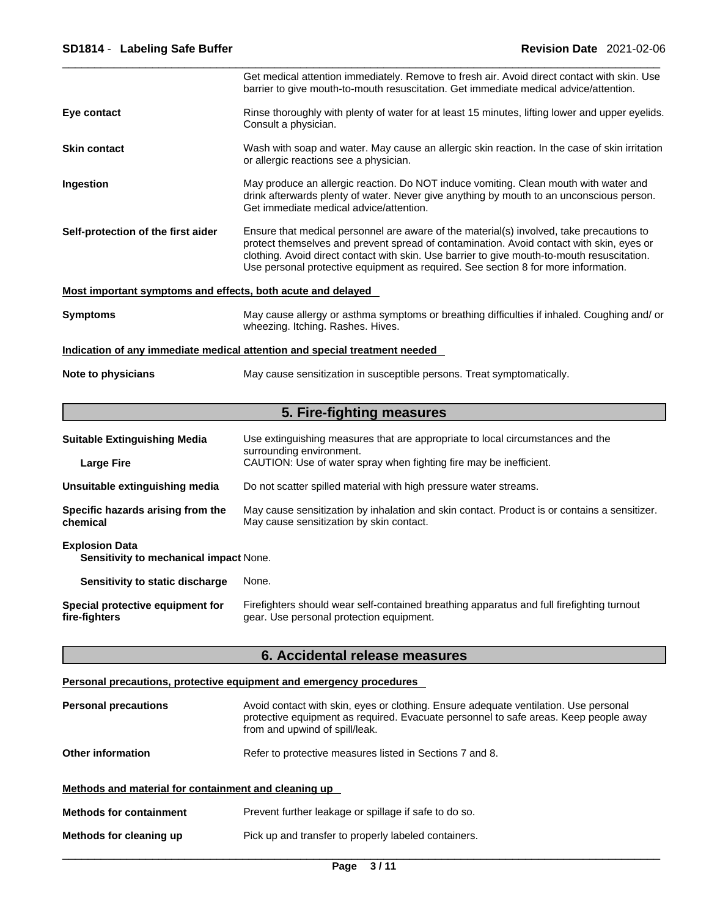|                                                                 | Get medical attention immediately. Remove to fresh air. Avoid direct contact with skin. Use<br>barrier to give mouth-to-mouth resuscitation. Get immediate medical advice/attention.                                                                                                                                                                                      |
|-----------------------------------------------------------------|---------------------------------------------------------------------------------------------------------------------------------------------------------------------------------------------------------------------------------------------------------------------------------------------------------------------------------------------------------------------------|
| Eye contact                                                     | Rinse thoroughly with plenty of water for at least 15 minutes, lifting lower and upper eyelids.<br>Consult a physician.                                                                                                                                                                                                                                                   |
| <b>Skin contact</b>                                             | Wash with soap and water. May cause an allergic skin reaction. In the case of skin irritation<br>or allergic reactions see a physician.                                                                                                                                                                                                                                   |
| Ingestion                                                       | May produce an allergic reaction. Do NOT induce vomiting. Clean mouth with water and<br>drink afterwards plenty of water. Never give anything by mouth to an unconscious person.<br>Get immediate medical advice/attention.                                                                                                                                               |
| Self-protection of the first aider                              | Ensure that medical personnel are aware of the material(s) involved, take precautions to<br>protect themselves and prevent spread of contamination. Avoid contact with skin, eyes or<br>clothing. Avoid direct contact with skin. Use barrier to give mouth-to-mouth resuscitation.<br>Use personal protective equipment as required. See section 8 for more information. |
| Most important symptoms and effects, both acute and delayed     |                                                                                                                                                                                                                                                                                                                                                                           |
| <b>Symptoms</b>                                                 | May cause allergy or asthma symptoms or breathing difficulties if inhaled. Coughing and/ or<br>wheezing. Itching. Rashes. Hives.                                                                                                                                                                                                                                          |
|                                                                 | Indication of any immediate medical attention and special treatment needed                                                                                                                                                                                                                                                                                                |
| Note to physicians                                              | May cause sensitization in susceptible persons. Treat symptomatically.                                                                                                                                                                                                                                                                                                    |
|                                                                 | 5. Fire-fighting measures                                                                                                                                                                                                                                                                                                                                                 |
| <b>Suitable Extinguishing Media</b>                             | Use extinguishing measures that are appropriate to local circumstances and the<br>surrounding environment.                                                                                                                                                                                                                                                                |
| <b>Large Fire</b>                                               | CAUTION: Use of water spray when fighting fire may be inefficient.                                                                                                                                                                                                                                                                                                        |
| Unsuitable extinguishing media                                  | Do not scatter spilled material with high pressure water streams.                                                                                                                                                                                                                                                                                                         |
| Specific hazards arising from the<br>chemical                   | May cause sensitization by inhalation and skin contact. Product is or contains a sensitizer.<br>May cause sensitization by skin contact.                                                                                                                                                                                                                                  |
| <b>Explosion Data</b><br>Sensitivity to mechanical impact None. |                                                                                                                                                                                                                                                                                                                                                                           |
| <b>Sensitivity to static discharge</b> None.                    |                                                                                                                                                                                                                                                                                                                                                                           |
| Special protective equipment for<br>fire-fighters               | Firefighters should wear self-contained breathing apparatus and full firefighting turnout<br>gear. Use personal protection equipment.                                                                                                                                                                                                                                     |
|                                                                 | 6. Accidental release measures                                                                                                                                                                                                                                                                                                                                            |
|                                                                 | Personal precautions, protective equipment and emergency procedures                                                                                                                                                                                                                                                                                                       |
| <b>Personal precautions</b>                                     | Avoid contact with skin, eyes or clothing. Ensure adequate ventilation. Use personal<br>protective equipment as required. Evacuate personnel to safe areas. Keep people away<br>from and upwind of spill/leak.                                                                                                                                                            |
| <b>Other information</b>                                        | Refer to protective measures listed in Sections 7 and 8.                                                                                                                                                                                                                                                                                                                  |

**Methods and material for containment and cleaning up**

- **Methods for containment** Prevent further leakage or spillage if safe to do so.
- **Methods for cleaning up** Pick up and transfer to properly labeled containers.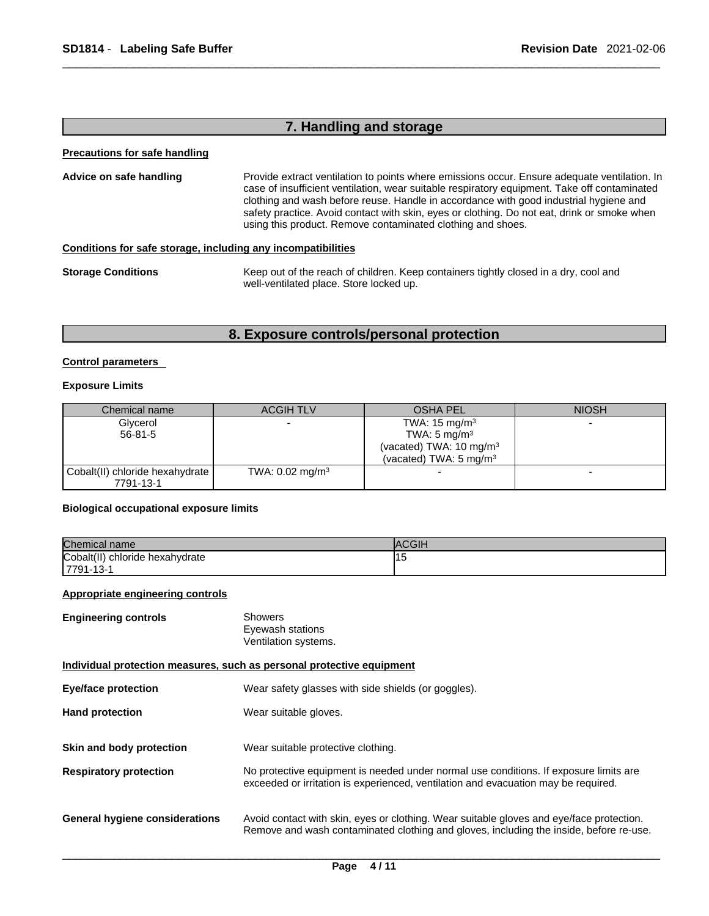# **7. Handling and storage**

#### **Precautions for safe handling**

| Advice on safe handling                                          | Provide extract ventilation to points where emissions occur. Ensure adequate ventilation. In<br>case of insufficient ventilation, wear suitable respiratory equipment. Take off contaminated<br>clothing and wash before reuse. Handle in accordance with good industrial hygiene and<br>safety practice. Avoid contact with skin, eyes or clothing. Do not eat, drink or smoke when<br>using this product. Remove contaminated clothing and shoes. |
|------------------------------------------------------------------|-----------------------------------------------------------------------------------------------------------------------------------------------------------------------------------------------------------------------------------------------------------------------------------------------------------------------------------------------------------------------------------------------------------------------------------------------------|
| Canditional for only otherses, including only incompatibilities. |                                                                                                                                                                                                                                                                                                                                                                                                                                                     |

#### **Conditions for safe storage, including any incompatibilities**

| <b>Storage Conditions</b> | Keep out of the reach of children. Keep containers tightly closed in a dry, cool and |
|---------------------------|--------------------------------------------------------------------------------------|
|                           | well-ventilated place. Store locked up.                                              |

# **8. Exposure controls/personal protection**

#### **Control parameters**

#### **Exposure Limits**

| Chemical name                   | <b>ACGIH TLV</b>           | <b>OSHA PEL</b>                     | <b>NIOSH</b> |
|---------------------------------|----------------------------|-------------------------------------|--------------|
| Glycerol                        |                            | TWA: $15 \text{ mg/m}^3$            |              |
| $56 - 81 - 5$                   |                            | TWA: 5 mg/m <sup>3</sup>            |              |
|                                 |                            | (vacated) TWA: 10 mg/m <sup>3</sup> |              |
|                                 |                            | (vacated) TWA: $5 \text{ mg/m}^3$   |              |
| Cobalt(II) chloride hexahydrate | TWA: $0.02 \text{ mg/m}^3$ |                                     |              |
| 7791-13-1                       |                            |                                     |              |

#### **Biological occupational exposure limits**

| Chemical name                   | lACGI⊦ |
|---------------------------------|--------|
| Cobalt(II) chloride hexahydrate | יי     |
| 17791-13-1                      |        |

#### **Appropriate engineering controls**

| <b>Engineering controls</b> | Showers              |
|-----------------------------|----------------------|
|                             | Eyewash stations     |
|                             | Ventilation systems. |

#### **Individual protection measures, such as personal protective equipment**

| <b>Eye/face protection</b>     | Wear safety glasses with side shields (or goggles).                                                                                                                                |
|--------------------------------|------------------------------------------------------------------------------------------------------------------------------------------------------------------------------------|
| <b>Hand protection</b>         | Wear suitable gloves.                                                                                                                                                              |
| Skin and body protection       | Wear suitable protective clothing.                                                                                                                                                 |
| <b>Respiratory protection</b>  | No protective equipment is needed under normal use conditions. If exposure limits are<br>exceeded or irritation is experienced, ventilation and evacuation may be required.        |
| General hygiene considerations | Avoid contact with skin, eyes or clothing. Wear suitable gloves and eye/face protection.<br>Remove and wash contaminated clothing and gloves, including the inside, before re-use. |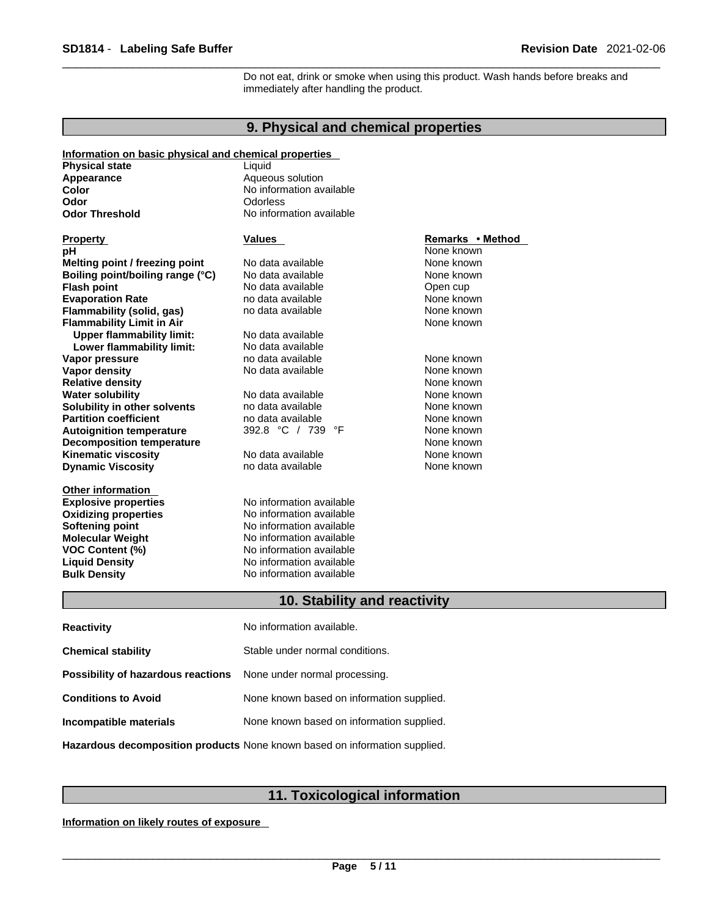Do not eat, drink or smoke when using this product. Wash hands before breaks and immediately after handling the product.

### **9. Physical and chemical properties**

#### **Information on basic physical and chemical properties**

| <b>Physical state</b>            | Liquid                   |                                |
|----------------------------------|--------------------------|--------------------------------|
| Appearance                       | Aqueous solution         |                                |
| Color                            | No information available |                                |
| Odor                             | <b>Odorless</b>          |                                |
| <b>Odor Threshold</b>            | No information available |                                |
|                                  |                          |                                |
| <b>Property</b>                  | <b>Values</b>            | Remarks • Method<br>None known |
| рH                               | No data available        | None known                     |
| Melting point / freezing point   |                          |                                |
| Boiling point/boiling range (°C) | No data available        | None known                     |
| <b>Flash point</b>               | No data available        | Open cup                       |
| <b>Evaporation Rate</b>          | no data available        | None known                     |
| Flammability (solid, gas)        | no data available        | None known                     |
| <b>Flammability Limit in Air</b> |                          | None known                     |
| <b>Upper flammability limit:</b> | No data available        |                                |
| Lower flammability limit:        | No data available        |                                |
| Vapor pressure                   | no data available        | None known                     |
| <b>Vapor density</b>             | No data available        | None known                     |
| <b>Relative density</b>          |                          | None known                     |
| <b>Water solubility</b>          | No data available        | None known                     |
| Solubility in other solvents     | no data available        | None known                     |
| <b>Partition coefficient</b>     | no data available        | None known                     |
| <b>Autoignition temperature</b>  | 392.8 °C / 739 °F        | None known                     |
| <b>Decomposition temperature</b> |                          | None known                     |
| <b>Kinematic viscosity</b>       | No data available        | None known                     |
| <b>Dynamic Viscosity</b>         | no data available        | None known                     |
| <b>Other information</b>         |                          |                                |
| <b>Explosive properties</b>      | No information available |                                |
| <b>Oxidizing properties</b>      | No information available |                                |
| Softening point                  | No information available |                                |
| <b>Molecular Weight</b>          | No information available |                                |
| <b>VOC Content (%)</b>           | No information available |                                |
| <b>Liquid Density</b>            | No information available |                                |
| <b>Bulk Density</b>              | No information available |                                |

# **10. Stability and reactivity**

| <b>Reactivity</b>                  | No information available.                 |
|------------------------------------|-------------------------------------------|
| <b>Chemical stability</b>          | Stable under normal conditions.           |
| Possibility of hazardous reactions | None under normal processing.             |
| <b>Conditions to Avoid</b>         | None known based on information supplied. |
| Incompatible materials             | None known based on information supplied. |
|                                    |                                           |

**Hazardous decomposition products** None known based on information supplied.

# **11. Toxicological information**

**Information on likely routes of exposure**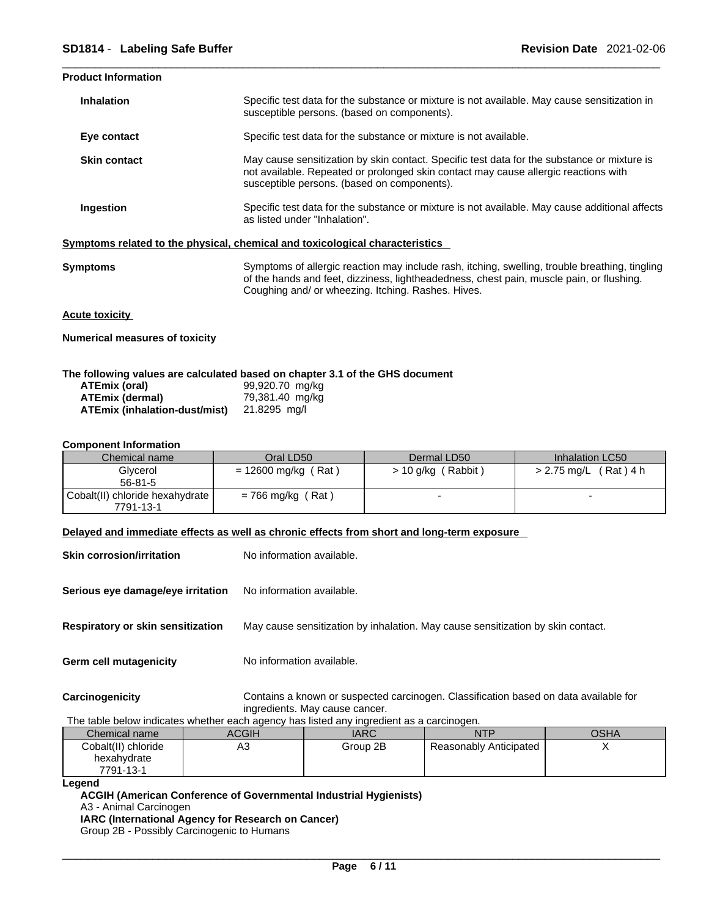#### **Product Information**

| <b>Inhalation</b>   | Specific test data for the substance or mixture is not available. May cause sensitization in<br>susceptible persons. (based on components).                                                                                                      |
|---------------------|--------------------------------------------------------------------------------------------------------------------------------------------------------------------------------------------------------------------------------------------------|
| Eye contact         | Specific test data for the substance or mixture is not available.                                                                                                                                                                                |
| <b>Skin contact</b> | May cause sensitization by skin contact. Specific test data for the substance or mixture is<br>not available. Repeated or prolonged skin contact may cause allergic reactions with<br>susceptible persons. (based on components).                |
| <b>Ingestion</b>    | Specific test data for the substance or mixture is not available. May cause additional affects<br>as listed under "Inhalation".                                                                                                                  |
|                     | Symptoms related to the physical, chemical and toxicological characteristics                                                                                                                                                                     |
| Symptoms            | Symptoms of allergic reaction may include rash, itching, swelling, trouble breathing, tingling<br>of the hands and feet, dizziness, lightheadedness, chest pain, muscle pain, or flushing.<br>Coughing and/ or wheezing. Itching. Rashes. Hives. |

#### **Acute toxicity**

**Numerical measures of toxicity**

#### **The following values are calculated based on chapter 3.1 of the GHS document**

| ATEmix (oral)                 | 99,920.70 mg/kg |
|-------------------------------|-----------------|
| <b>ATEmix (dermal)</b>        | 79,381.40 mg/kg |
| ATEmix (inhalation-dust/mist) | 21.8295 mg/l    |

#### **Component Information**

| Chemical name                   | Oral LD50           | Dermal LD50          | Inhalation LC50                  |
|---------------------------------|---------------------|----------------------|----------------------------------|
| Glycerol                        | = 12600 mg/kg (Rat) | $> 10$ g/kg (Rabbit) | (Rat)4 h<br>$>$ 2.75 mg/L $\sim$ |
| $56 - 81 - 5$                   |                     |                      |                                  |
| Cobalt(II) chloride hexahydrate | $= 766$ mg/kg (Rat) |                      |                                  |
| 7791-13-1                       |                     |                      |                                  |

#### **Delayed and immediate effects as well as chronic effects from short and long-term exposure**

| <b>Skin corrosion/irritation</b>         | No information available.                                                                                              |
|------------------------------------------|------------------------------------------------------------------------------------------------------------------------|
| Serious eye damage/eye irritation        | No information available.                                                                                              |
| <b>Respiratory or skin sensitization</b> | May cause sensitization by inhalation. May cause sensitization by skin contact.                                        |
| Germ cell mutagenicity                   | No information available.                                                                                              |
| Carcinogenicity                          | Contains a known or suspected carcinogen. Classification based on data available for<br>ingredients. May cause cancer. |

The table below indicates whether each agency has listed any ingredient as a carcinogen.

| Chemical name       | ACGIH | IARC     | NTP                    | OSHA |
|---------------------|-------|----------|------------------------|------|
| Cobalt(II) chloride | AЗ    | Group 2B | Reasonably Anticipated | ,    |
| hexahydrate         |       |          |                        |      |
| 7791-13-1           |       |          |                        |      |
| .                   |       |          |                        |      |

```
Legend
```
**ACGIH (American Conference of Governmental Industrial Hygienists)** A3 - Animal Carcinogen **IARC (International Agency for Research on Cancer)** Group 2B - Possibly Carcinogenic to Humans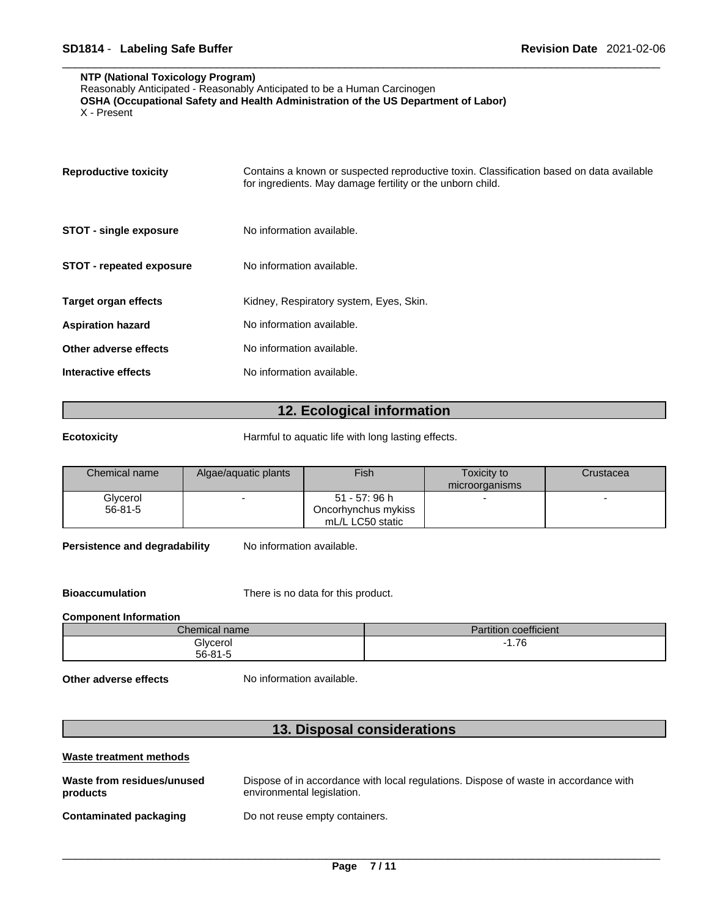#### **NTP (National Toxicology Program)**

Reasonably Anticipated - Reasonably Anticipated to be a Human Carcinogen

**OSHA (Occupational Safety and Health Administration of the US Department of Labor)**

X - Present

| <b>Reproductive toxicity</b>    | Contains a known or suspected reproductive toxin. Classification based on data available<br>for ingredients. May damage fertility or the unborn child. |
|---------------------------------|--------------------------------------------------------------------------------------------------------------------------------------------------------|
| <b>STOT - single exposure</b>   | No information available.                                                                                                                              |
| <b>STOT - repeated exposure</b> | No information available.                                                                                                                              |
| <b>Target organ effects</b>     | Kidney, Respiratory system, Eyes, Skin.                                                                                                                |
| <b>Aspiration hazard</b>        | No information available.                                                                                                                              |
| Other adverse effects           | No information available.                                                                                                                              |
| Interactive effects             | No information available.                                                                                                                              |

#### **12. Ecological information**

**Ecotoxicity Exercise 3 Exercise 2 Exercise 2 Harmful to aquatic life with long lasting effects.** 

| Chemical name | Algae/aquatic plants | Fish                | Toxicity to<br>microorganisms | Crustacea |
|---------------|----------------------|---------------------|-------------------------------|-----------|
| Glycerol      |                      | 51 - 57: 96 h       |                               |           |
| $56-81-5$     |                      | Oncorhynchus mykiss |                               |           |
|               |                      | mL/L LC50 static    |                               |           |

**Persistence and degradability** No information available.

**Bioaccumulation** There is no data for this product.

#### **Component Information**

| $\mathcal L$ hemical name $\tau$ | $\cdots$<br>$\cdot$<br>Partition coefficient |
|----------------------------------|----------------------------------------------|
| Glycerol                         | 7C<br>1.70<br>___                            |
| 56-81-5                          |                                              |

**Other adverse effects** No information available.

# **13. Disposal considerations**

| Waste treatment methods                |                                                                                                                    |
|----------------------------------------|--------------------------------------------------------------------------------------------------------------------|
| Waste from residues/unused<br>products | Dispose of in accordance with local regulations. Dispose of waste in accordance with<br>environmental legislation. |
| Contaminated packaging                 | Do not reuse empty containers.                                                                                     |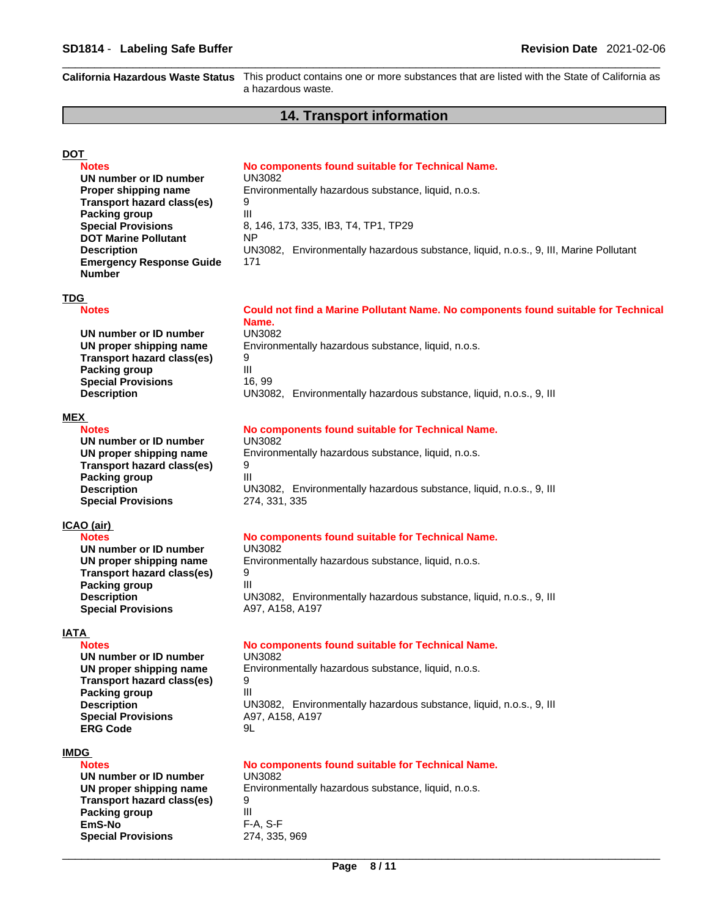**California Hazardous Waste Status** This product contains one ormore substances that are listed with the State ofCalifornia as a hazardous waste.

#### **14. Transport information**

### **DOT**

**Notes No components found suitable for Technical Name. Notes** 

**Environmentally hazardous substance, liquid, n.o.s.** 

**UN** number or **ID** number UN3082<br>**Proper shipping name** Environm **Transport hazard class(es)** 9 **Packing group 111 Special Provisions** 8, 146, 173, 335, IB3, T4, TP1, TP29 **DOT Marine Pollutant** NP **Description** UN3082, Environmentally hazardous substance, liquid, n.o.s., 9, III, Marine Pollutant **Emergency Response Guide Number** 

171

#### **TDG**

**MEX** 

**ICAO (air)**

**Packing group** 

**Notes Could not find a Marine Pollutant Name. No components found suitable for Technical Name. UN number or ID number** UN3082 **UN proper shipping name** Environmentally hazardous substance, liquid, n.o.s. **Transport hazard class(es)** 9<br>**Packing group Special Provisions** 16, 99

**Description LIN3082, Environmentally hazardous substance, liquid, n.o.s., 9, III** 

#### **Notes No components found suitable for Technical Name.**

**UN number or ID number** UN3082 **UN proper shipping name** Environmentally hazardous substance, liquid, n.o.s. **Transport hazard class(es)** 9 **Packing group 111 Description LIN3082, Environmentally hazardous substance, liquid, n.o.s., 9, III Special Provisions** 274, 331, 335

#### **Notes No components found suitable for Technical Name. Notes**

**UN number or ID number** UN3082 **UN proper shipping name** Environmentally hazardous substance, liquid, n.o.s. **Transport hazard class(es)** 9<br>**Packing group Description LIN3082, Environmentally hazardous substance, liquid, n.o.s., 9, III Special Provisions** A97, A158, A197

**Packing group** 

**UN number or ID number** UN3082 **Transport hazard class(es)** 9 **Packing group 111 Special Provisions** A97, A158, A197 **ERG Code** 9L

#### **IMDG**

**IATA** 

**UN number or ID number** UN3082 **Transport hazard class(es)** 9 **Packing group** III **EmS-No Special Provisions** 274, 335, 969

#### **Notes Notes Notes Inc. 2018 Mo components found suitable for Technical Name.**

**UN proper shipping name** Environmentally hazardous substance, liquid, n.o.s. **Description LIN3082, Environmentally hazardous substance, liquid, n.o.s., 9, III** 

# **Notes No components found suitable for Technical Name.**

**UN proper shipping name** Environmentally hazardous substance, liquid, n.o.s.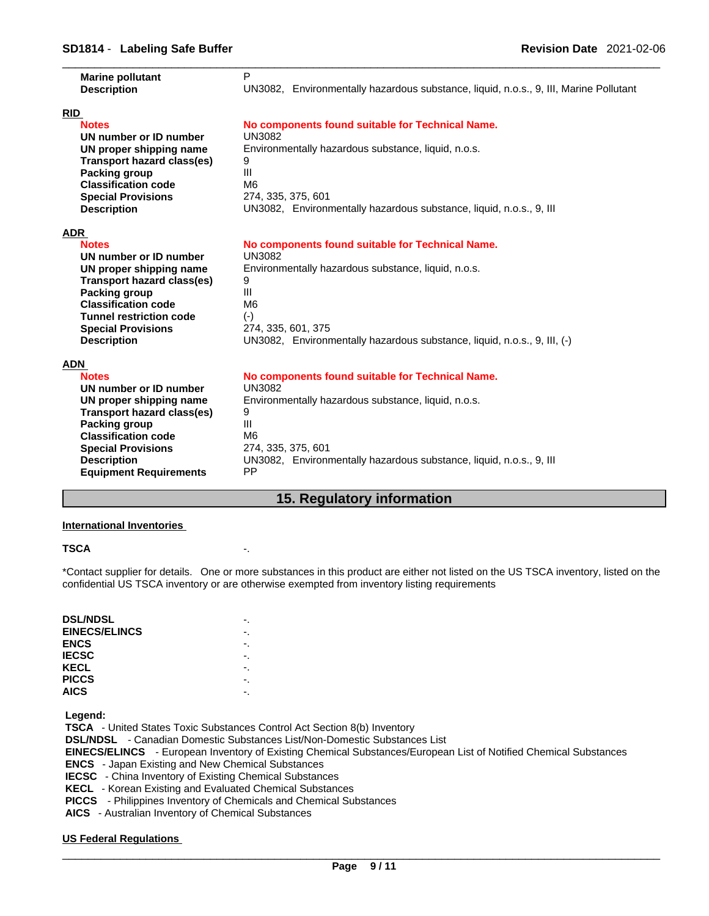| <b>Marine pollutant</b><br><b>Description</b>                                                    |                            | P                                           | UN3082, Environmentally hazardous substance, liquid, n.o.s., 9, III, Marine Pollutant |
|--------------------------------------------------------------------------------------------------|----------------------------|---------------------------------------------|---------------------------------------------------------------------------------------|
| <b>RID</b><br><b>Notes</b>                                                                       |                            |                                             | No components found suitable for Technical Name.                                      |
| UN number or ID number<br>UN proper shipping name<br>Packing group<br><b>Classification code</b> | Transport hazard class(es) | <b>UN3082</b><br>9<br>III<br>M <sub>6</sub> | Environmentally hazardous substance, liquid, n.o.s.                                   |
| <b>Special Provisions</b><br><b>Description</b>                                                  |                            | 274, 335, 375, 601                          | UN3082, Environmentally hazardous substance, liquid, n.o.s., 9, III                   |
| <b>ADR</b>                                                                                       |                            |                                             |                                                                                       |
| <b>Notes</b><br>UN number or ID number                                                           |                            | <b>UN3082</b>                               | No components found suitable for Technical Name.                                      |
| UN proper shipping name                                                                          |                            |                                             | Environmentally hazardous substance, liquid, n.o.s.                                   |
| <b>Packing group</b>                                                                             | Transport hazard class(es) | 9<br>$\mathbf{III}$                         |                                                                                       |
| <b>Classification code</b><br><b>Tunnel restriction code</b>                                     |                            | M <sub>6</sub>                              |                                                                                       |
| <b>Special Provisions</b>                                                                        |                            | $(-)$<br>274, 335, 601, 375                 |                                                                                       |
| <b>Description</b>                                                                               |                            |                                             | UN3082, Environmentally hazardous substance, liquid, n.o.s., 9, III, (-)              |
| ADN                                                                                              |                            |                                             |                                                                                       |
| <b>Notes</b><br>UN number or ID number                                                           |                            | UN3082                                      | No components found suitable for Technical Name.                                      |
| UN proper shipping name                                                                          |                            |                                             | Environmentally hazardous substance, liquid, n.o.s.                                   |
|                                                                                                  | Transport hazard class(es) | 9<br>$\mathbf{III}$                         |                                                                                       |
| Packing group<br><b>Classification code</b>                                                      |                            | M <sub>6</sub>                              |                                                                                       |
| <b>Special Provisions</b>                                                                        |                            | 274, 335, 375, 601                          |                                                                                       |
| <b>Description</b><br><b>Equipment Requirements</b>                                              |                            | <b>PP</b>                                   | UN3082, Environmentally hazardous substance, liquid, n.o.s., 9, III                   |

# **15. Regulatory information**

#### **International Inventories**

#### **TSCA** -.

\*Contact supplier for details. One or more substances in this product are either not listed on the US TSCA inventory, listed on the confidential US TSCA inventory or are otherwise exempted from inventory listing requirements

| <b>DSL/NDSL</b>      |    |
|----------------------|----|
| <b>EINECS/ELINCS</b> | -. |
| <b>ENCS</b>          |    |
| <b>IECSC</b>         | ٠. |
| <b>KECL</b>          |    |
| <b>PICCS</b>         | ٠. |
| <b>AICS</b>          |    |

 **Legend:** 

 **TSCA** - United States Toxic Substances Control Act Section 8(b) Inventory

 **DSL/NDSL** - Canadian Domestic Substances List/Non-Domestic Substances List

 **EINECS/ELINCS** - European Inventory of Existing Chemical Substances/European List of Notified Chemical Substances

 **ENCS** - Japan Existing and New Chemical Substances

 **IECSC** - China Inventory of Existing Chemical Substances

 **KECL** - Korean Existing and Evaluated Chemical Substances

 **PICCS** - Philippines Inventory of Chemicals and Chemical Substances

 **AICS** - Australian Inventory of Chemical Substances

#### **US Federal Regulations**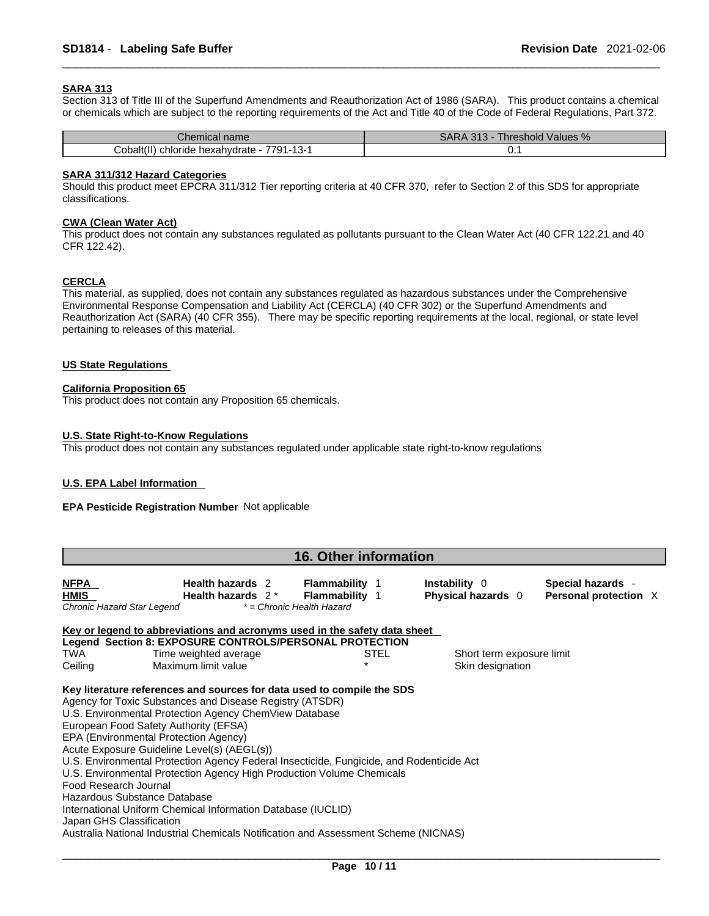#### **SARA 313**

Section 313 of Title III of the Superfund Amendments and Reauthorization Act of 1986 (SARA). This product contains a chemical or chemicals which are subject to the reporting requirements of the Act and Title 40 of the Code of Federal Regulations, Part 372.

| $\sim$<br>Chemical name                                                                                | 24<br>:ARA<br>, hreshold<br>Values %<br>JANA<br>- 010 |
|--------------------------------------------------------------------------------------------------------|-------------------------------------------------------|
| $\cdots$<br>$\overline{\phantom{0}}$<br>7791-<br>hloride<br>Cobalt(II)<br>hexahvdrate<br>$\ddotsc$<br> | . v. v                                                |

#### **SARA 311/312 Hazard Categories**

Should this product meet EPCRA 311/312 Tier reporting criteria at 40 CFR 370, refer to Section 2 of this SDS for appropriate classifications.

#### **CWA (Clean WaterAct)**

This product does not contain any substances regulated as pollutants pursuant to the Clean Water Act (40 CFR 122.21 and 40 CFR 122.42).

#### **CERCLA**

This material, as supplied, does not contain any substances regulated as hazardous substances under the Comprehensive Environmental Response Compensation and Liability Act (CERCLA) (40 CFR 302) or the Superfund Amendments and Reauthorization Act (SARA) (40 CFR 355). There may be specific reporting requirements at the local, regional, or state level pertaining to releases of this material.

#### **US State Regulations**

#### **California Proposition 65**

This product does not contain any Proposition 65 chemicals.

#### **U.S. State Right-to-Know Regulations**

This product does not contain any substances regulated under applicable state right-to-know regulations

#### **U.S. EPA Label Information**

#### **EPA Pesticide Registration Number** Not applicable

|                                                          | <b>16. Other information</b>                                                                                                                                                                                                                                                                                                                                                                                                                                                                                                                                                                                                                                                              |                                                |                                               |                                            |  |  |
|----------------------------------------------------------|-------------------------------------------------------------------------------------------------------------------------------------------------------------------------------------------------------------------------------------------------------------------------------------------------------------------------------------------------------------------------------------------------------------------------------------------------------------------------------------------------------------------------------------------------------------------------------------------------------------------------------------------------------------------------------------------|------------------------------------------------|-----------------------------------------------|--------------------------------------------|--|--|
| <b>NFPA</b><br><b>HMIS</b><br>Chronic Hazard Star Legend | Health hazards 2<br>Health hazards $2^*$<br>* = Chronic Health Hazard                                                                                                                                                                                                                                                                                                                                                                                                                                                                                                                                                                                                                     | <b>Flammability</b> 1<br><b>Flammability 1</b> | Instability 0<br>Physical hazards 0           | Special hazards -<br>Personal protection X |  |  |
|                                                          | Key or legend to abbreviations and acronyms used in the safety data sheet                                                                                                                                                                                                                                                                                                                                                                                                                                                                                                                                                                                                                 |                                                |                                               |                                            |  |  |
| TWA<br>Ceiling                                           | Legend Section 8: EXPOSURE CONTROLS/PERSONAL PROTECTION<br>Time weighted average<br>Maximum limit value                                                                                                                                                                                                                                                                                                                                                                                                                                                                                                                                                                                   | <b>STEL</b>                                    | Short term exposure limit<br>Skin designation |                                            |  |  |
| Food Research Journal<br>Japan GHS Classification        | Key literature references and sources for data used to compile the SDS<br>Agency for Toxic Substances and Disease Registry (ATSDR)<br>U.S. Environmental Protection Agency ChemView Database<br>European Food Safety Authority (EFSA)<br>EPA (Environmental Protection Agency)<br>Acute Exposure Guideline Level(s) (AEGL(s))<br>U.S. Environmental Protection Agency Federal Insecticide, Fungicide, and Rodenticide Act<br>U.S. Environmental Protection Agency High Production Volume Chemicals<br>Hazardous Substance Database<br>International Uniform Chemical Information Database (IUCLID)<br>Australia National Industrial Chemicals Notification and Assessment Scheme (NICNAS) |                                                |                                               |                                            |  |  |